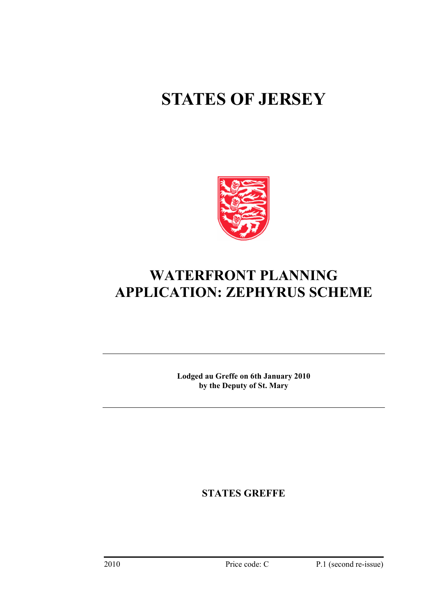# **STATES OF JERSEY**



# **WATERFRONT PLANNING APPLICATION: ZEPHYRUS SCHEME**

**Lodged au Greffe on 6th January 2010 by the Deputy of St. Mary** 

**STATES GREFFE**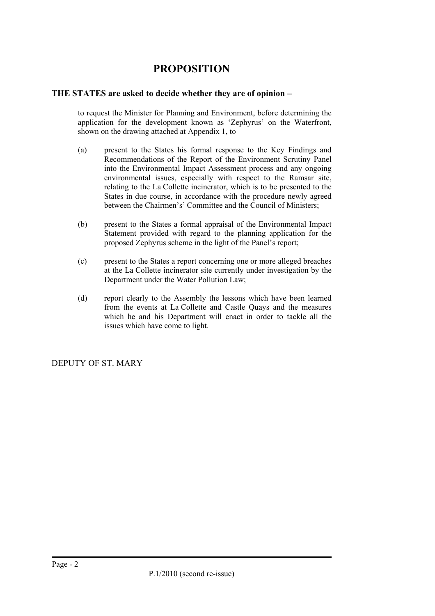## **PROPOSITION**

## **THE STATES are asked to decide whether they are of opinion** −

to request the Minister for Planning and Environment, before determining the application for the development known as 'Zephyrus' on the Waterfront, shown on the drawing attached at Appendix 1, to –

- (a) present to the States his formal response to the Key Findings and Recommendations of the Report of the Environment Scrutiny Panel into the Environmental Impact Assessment process and any ongoing environmental issues, especially with respect to the Ramsar site, relating to the La Collette incinerator, which is to be presented to the States in due course, in accordance with the procedure newly agreed between the Chairmen's' Committee and the Council of Ministers;
- (b) present to the States a formal appraisal of the Environmental Impact Statement provided with regard to the planning application for the proposed Zephyrus scheme in the light of the Panel's report;
- (c) present to the States a report concerning one or more alleged breaches at the La Collette incinerator site currently under investigation by the Department under the Water Pollution Law;
- (d) report clearly to the Assembly the lessons which have been learned from the events at La Collette and Castle Quays and the measures which he and his Department will enact in order to tackle all the issues which have come to light.

DEPUTY OF ST. MARY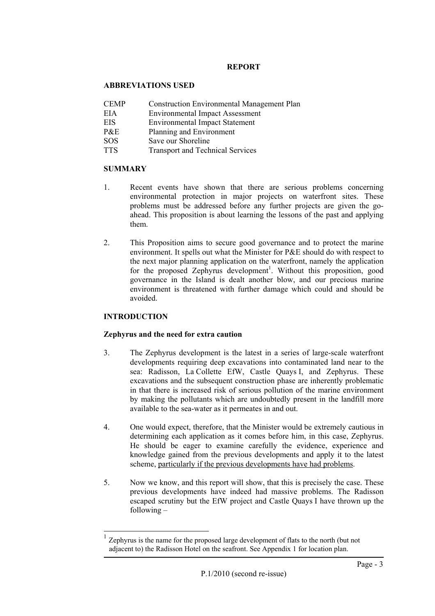#### **REPORT**

## **ABBREVIATIONS USED**

- CEMP Construction Environmental Management Plan
- EIA Environmental Impact Assessment
- EIS Environmental Impact Statement
- P&E Planning and Environment
- SOS Save our Shoreline
- TTS Transport and Technical Services

## **SUMMARY**

- 1. Recent events have shown that there are serious problems concerning environmental protection in major projects on waterfront sites. These problems must be addressed before any further projects are given the goahead. This proposition is about learning the lessons of the past and applying them.
- 2. This Proposition aims to secure good governance and to protect the marine environment. It spells out what the Minister for P&E should do with respect to the next major planning application on the waterfront, namely the application for the proposed Zephyrus development<sup>[1](#page-2-0)</sup>. Without this proposition, good governance in the Island is dealt another blow, and our precious marine environment is threatened with further damage which could and should be avoided.

## **INTRODUCTION**

## **Zephyrus and the need for extra caution**

- 3. The Zephyrus development is the latest in a series of large-scale waterfront developments requiring deep excavations into contaminated land near to the sea: Radisson, La Collette EfW, Castle Quays I, and Zephyrus. These excavations and the subsequent construction phase are inherently problematic in that there is increased risk of serious pollution of the marine environment by making the pollutants which are undoubtedly present in the landfill more available to the sea-water as it permeates in and out.
- 4. One would expect, therefore, that the Minister would be extremely cautious in determining each application as it comes before him, in this case, Zephyrus. He should be eager to examine carefully the evidence, experience and knowledge gained from the previous developments and apply it to the latest scheme, particularly if the previous developments have had problems.
- 5. Now we know, and this report will show, that this is precisely the case. These previous developments have indeed had massive problems. The Radisson escaped scrutiny but the EfW project and Castle Quays I have thrown up the following –

<span id="page-2-0"></span> <sup>1</sup> Zephyrus is the name for the proposed large development of flats to the north (but not adjacent to) the Radisson Hotel on the seafront. See Appendix 1 for location plan.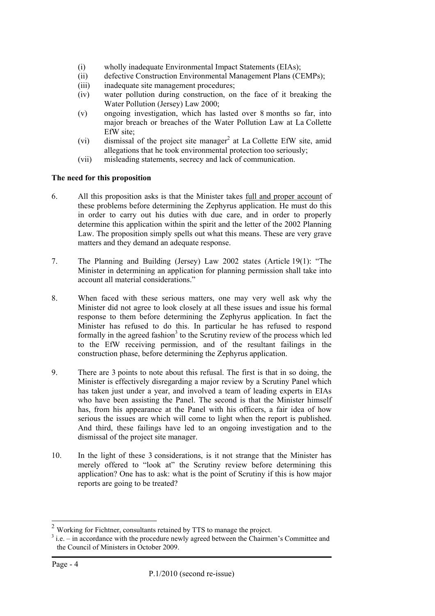- (i) wholly inadequate Environmental Impact Statements (EIAs);
- (ii) defective Construction Environmental Management Plans (CEMPs);
- (iii) inadequate site management procedures;
- (iv) water pollution during construction, on the face of it breaking the Water Pollution (Jersey) Law 2000;
- (v) ongoing investigation, which has lasted over 8 months so far, into major breach or breaches of the Water Pollution Law at La Collette EfW site;
- (vi) dismissal of the project site manager<sup>[2](#page-3-0)</sup> at La Collette EfW site, amid allegations that he took environmental protection too seriously;
- (vii) misleading statements, secrecy and lack of communication.

## **The need for this proposition**

- 6. All this proposition asks is that the Minister takes full and proper account of these problems before determining the Zephyrus application. He must do this in order to carry out his duties with due care, and in order to properly determine this application within the spirit and the letter of the 2002 Planning Law. The proposition simply spells out what this means. These are very grave matters and they demand an adequate response.
- 7. The Planning and Building (Jersey) Law 2002 states (Article 19(1): "The Minister in determining an application for planning permission shall take into account all material considerations."
- 8. When faced with these serious matters, one may very well ask why the Minister did not agree to look closely at all these issues and issue his formal response to them before determining the Zephyrus application. In fact the Minister has refused to do this. In particular he has refused to respond formally in the agreed fashion<sup>3</sup> to the Scrutiny review of the process which led to the EfW receiving permission, and of the resultant failings in the construction phase, before determining the Zephyrus application.
- 9. There are 3 points to note about this refusal. The first is that in so doing, the Minister is effectively disregarding a major review by a Scrutiny Panel which has taken just under a year, and involved a team of leading experts in EIAs who have been assisting the Panel. The second is that the Minister himself has, from his appearance at the Panel with his officers, a fair idea of how serious the issues are which will come to light when the report is published. And third, these failings have led to an ongoing investigation and to the dismissal of the project site manager.
- 10. In the light of these 3 considerations, is it not strange that the Minister has merely offered to "look at" the Scrutiny review before determining this application? One has to ask: what is the point of Scrutiny if this is how major reports are going to be treated?

<span id="page-3-0"></span> <sup>2</sup> Working for Fichtner, consultants retained by TTS to manage the project.

<span id="page-3-1"></span> $3$  i.e. – in accordance with the procedure newly agreed between the Chairmen's Committee and the Council of Ministers in October 2009.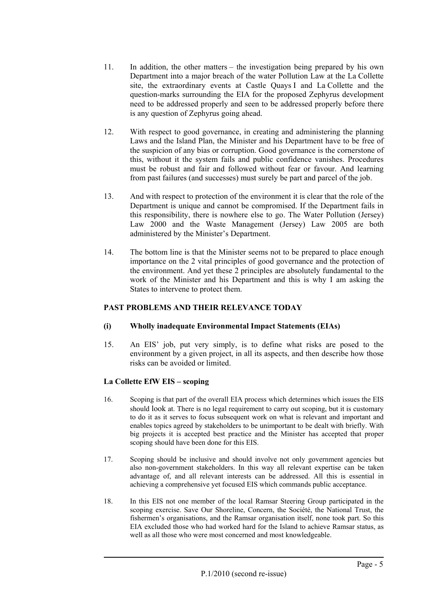- 11. In addition, the other matters the investigation being prepared by his own Department into a major breach of the water Pollution Law at the La Collette site, the extraordinary events at Castle Quays I and La Collette and the question-marks surrounding the EIA for the proposed Zephyrus development need to be addressed properly and seen to be addressed properly before there is any question of Zephyrus going ahead.
- 12. With respect to good governance, in creating and administering the planning Laws and the Island Plan, the Minister and his Department have to be free of the suspicion of any bias or corruption. Good governance is the cornerstone of this, without it the system fails and public confidence vanishes. Procedures must be robust and fair and followed without fear or favour. And learning from past failures (and successes) must surely be part and parcel of the job.
- 13. And with respect to protection of the environment it is clear that the role of the Department is unique and cannot be compromised. If the Department fails in this responsibility, there is nowhere else to go. The Water Pollution (Jersey) Law 2000 and the Waste Management (Jersey) Law 2005 are both administered by the Minister's Department.
- 14. The bottom line is that the Minister seems not to be prepared to place enough importance on the 2 vital principles of good governance and the protection of the environment. And yet these 2 principles are absolutely fundamental to the work of the Minister and his Department and this is why I am asking the States to intervene to protect them.

## **PAST PROBLEMS AND THEIR RELEVANCE TODAY**

- **(i) Wholly inadequate Environmental Impact Statements (EIAs)**
- 15. An EIS' job, put very simply, is to define what risks are posed to the environment by a given project, in all its aspects, and then describe how those risks can be avoided or limited.

## **La Collette EfW EIS – scoping**

- 16. Scoping is that part of the overall EIA process which determines which issues the EIS should look at. There is no legal requirement to carry out scoping, but it is customary to do it as it serves to focus subsequent work on what is relevant and important and enables topics agreed by stakeholders to be unimportant to be dealt with briefly. With big projects it is accepted best practice and the Minister has accepted that proper scoping should have been done for this EIS.
- 17. Scoping should be inclusive and should involve not only government agencies but also non-government stakeholders. In this way all relevant expertise can be taken advantage of, and all relevant interests can be addressed. All this is essential in achieving a comprehensive yet focused EIS which commands public acceptance.
- 18. In this EIS not one member of the local Ramsar Steering Group participated in the scoping exercise. Save Our Shoreline, Concern, the Société, the National Trust, the fishermen's organisations, and the Ramsar organisation itself, none took part. So this EIA excluded those who had worked hard for the Island to achieve Ramsar status, as well as all those who were most concerned and most knowledgeable.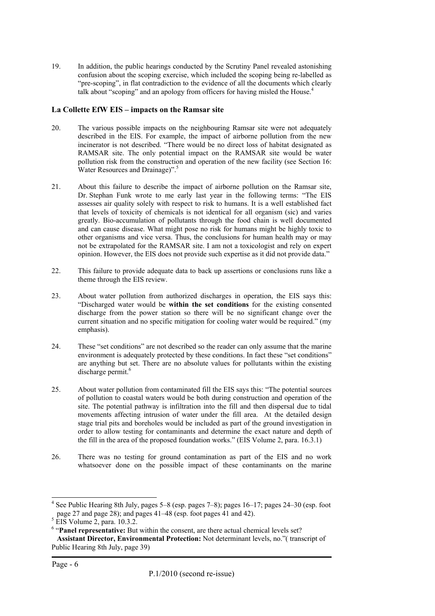19. In addition, the public hearings conducted by the Scrutiny Panel revealed astonishing confusion about the scoping exercise, which included the scoping being re-labelled as "pre-scoping", in flat contradiction to the evidence of all the documents which clearly talk about "scoping" and an apology from officers for having misled the House.<sup>[4](#page-5-0)</sup>

#### **La Collette EfW EIS – impacts on the Ramsar site**

- 20. The various possible impacts on the neighbouring Ramsar site were not adequately described in the EIS. For example, the impact of airborne pollution from the new incinerator is not described. "There would be no direct loss of habitat designated as RAMSAR site. The only potential impact on the RAMSAR site would be water pollution risk from the construction and operation of the new facility (see Section 16: Water Resources and Drainage)".<sup>5</sup>
- 21. About this failure to describe the impact of airborne pollution on the Ramsar site, Dr. Stephan Funk wrote to me early last year in the following terms: "The EIS assesses air quality solely with respect to risk to humans. It is a well established fact that levels of toxicity of chemicals is not identical for all organism (sic) and varies greatly. Bio-accumulation of pollutants through the food chain is well documented and can cause disease. What might pose no risk for humans might be highly toxic to other organisms and vice versa. Thus, the conclusions for human health may or may not be extrapolated for the RAMSAR site. I am not a toxicologist and rely on expert opinion. However, the EIS does not provide such expertise as it did not provide data."
- 22. This failure to provide adequate data to back up assertions or conclusions runs like a theme through the EIS review.
- 23. About water pollution from authorized discharges in operation, the EIS says this: "Discharged water would be **within the set conditions** for the existing consented discharge from the power station so there will be no significant change over the current situation and no specific mitigation for cooling water would be required." (my emphasis).
- 24. These "set conditions" are not described so the reader can only assume that the marine environment is adequately protected by these conditions. In fact these "set conditions" are anything but set. There are no absolute values for pollutants within the existing discharge permit. [6](#page-5-2)
- 25. About water pollution from contaminated fill the EIS says this: "The potential sources of pollution to coastal waters would be both during construction and operation of the site. The potential pathway is infiltration into the fill and then dispersal due to tidal movements affecting intrusion of water under the fill area. At the detailed design stage trial pits and boreholes would be included as part of the ground investigation in order to allow testing for contaminants and determine the exact nature and depth of the fill in the area of the proposed foundation works." (EIS Volume 2, para. 16.3.1)
- 26. There was no testing for ground contamination as part of the EIS and no work whatsoever done on the possible impact of these contaminants on the marine

<span id="page-5-0"></span> <sup>4</sup> <sup>4</sup> See Public Hearing 8th July, pages  $5-8$  (esp. pages  $7-8$ ); pages  $16-17$ ; pages  $24-30$  (esp. foot page 27 and page 28); and pages  $41-48$  (esp. foot pages  $41$  and  $42$ ).

<span id="page-5-1"></span> $5$  EIS Volume 2, para. 10.3.2.

<span id="page-5-2"></span><sup>&</sup>lt;sup>6</sup> "Panel representative: But within the consent, are there actual chemical levels set?  **Assistant Director, Environmental Protection:** Not determinant levels, no."( transcript of Public Hearing 8th July, page 39)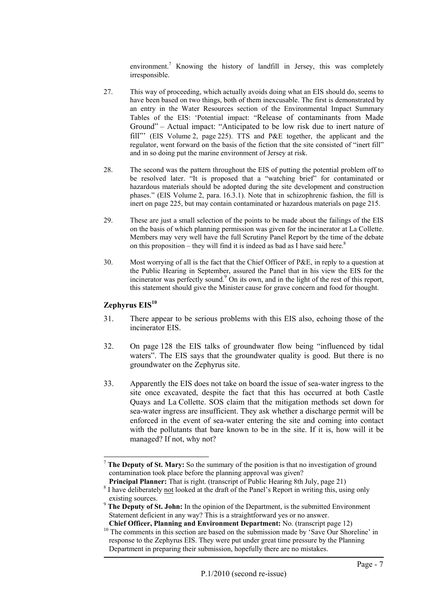environment.<sup>7</sup>Knowing the history of landfill in Jersey, this was completely irresponsible.

- 27. This way of proceeding, which actually avoids doing what an EIS should do, seems to have been based on two things, both of them inexcusable. The first is demonstrated by an entry in the Water Resources section of the Environmental Impact Summary Tables of the EIS: 'Potential impact: "Release of contaminants from Made Ground" – Actual impact: "Anticipated to be low risk due to inert nature of fill"' (EIS Volume 2, page 225). TTS and P&E together, the applicant and the regulator, went forward on the basis of the fiction that the site consisted of "inert fill" and in so doing put the marine environment of Jersey at risk.
- 28. The second was the pattern throughout the EIS of putting the potential problem off to be resolved later. "It is proposed that a "watching brief" for contaminated or hazardous materials should be adopted during the site development and construction phases." (EIS Volume 2, para. 16.3.1). Note that in schizophrenic fashion, the fill is inert on page 225, but may contain contaminated or hazardous materials on page 215.
- 29. These are just a small selection of the points to be made about the failings of the EIS on the basis of which planning permission was given for the incinerator at La Collette. Members may very well have the full Scrutiny Panel Report by the time of the debate on this proposition – they will find it is indeed as bad as I have said here.<sup>[8](#page-6-1)</sup>
- 30. Most worrying of all is the fact that the Chief Officer of P&E, in reply to a question at the Public Hearing in September, assured the Panel that in his view the EIS for the incinerator was perfectly sound. 9  [O](#page-6-2)n its own, and in the light of the rest of this report, this statement should give the Minister cause for grave concern and food for thought.

## **Zephyrus EIS[10](#page-6-3)**

- 31. There appear to be serious problems with this EIS also, echoing those of the incinerator EIS.
- 32. On page 128 the EIS talks of groundwater flow being "influenced by tidal waters". The EIS says that the groundwater quality is good. But there is no groundwater on the Zephyrus site.
- 33. Apparently the EIS does not take on board the issue of sea-water ingress to the site once excavated, despite the fact that this has occurred at both Castle Quays and La Collette. SOS claim that the mitigation methods set down for sea-water ingress are insufficient. They ask whether a discharge permit will be enforced in the event of sea-water entering the site and coming into contact with the pollutants that bare known to be in the site. If it is, how will it be managed? If not, why not?

<span id="page-6-0"></span> <sup>7</sup> **The Deputy of St. Mary:** So the summary of the position is that no investigation of ground contamination took place before the planning approval was given?

<span id="page-6-1"></span>**Principal Planner:** That is right. (transcript of Public Hearing 8th July, page 21) <sup>8</sup> I have deliberately <u>not</u> looked at the draft of the Panel's Report in writing this, using only existing sources.

<span id="page-6-2"></span><sup>&</sup>lt;sup>9</sup> **The Deputy of St. John:** In the opinion of the Department, is the submitted Environment Statement deficient in any way? This is a straightforward yes or no answer.<br>Chief Officer, Planning and Environment Department: No. (transcript page 12)

<span id="page-6-3"></span><sup>&</sup>lt;sup>10</sup> The comments in this section are based on the submission made by 'Save Our Shoreline' in response to the Zephyrus EIS. They were put under great time pressure by the Planning Department in preparing their submission, hopefully there are no mistakes.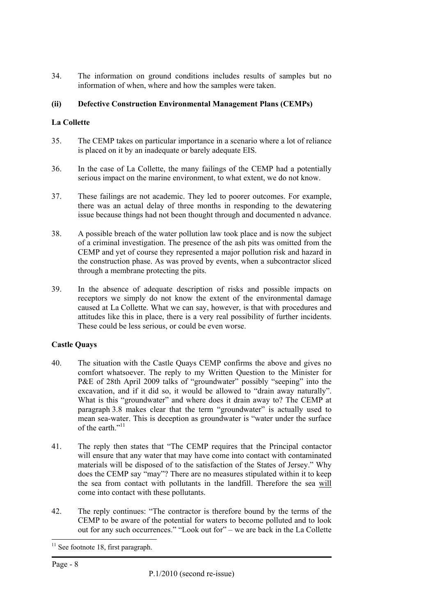34. The information on ground conditions includes results of samples but no information of when, where and how the samples were taken.

## **(ii) Defective Construction Environmental Management Plans (CEMPs)**

## **La Collette**

- 35. The CEMP takes on particular importance in a scenario where a lot of reliance is placed on it by an inadequate or barely adequate EIS.
- 36. In the case of La Collette, the many failings of the CEMP had a potentially serious impact on the marine environment, to what extent, we do not know.
- 37. These failings are not academic. They led to poorer outcomes. For example, there was an actual delay of three months in responding to the dewatering issue because things had not been thought through and documented n advance.
- 38. A possible breach of the water pollution law took place and is now the subject of a criminal investigation. The presence of the ash pits was omitted from the CEMP and yet of course they represented a major pollution risk and hazard in the construction phase. As was proved by events, when a subcontractor sliced through a membrane protecting the pits.
- 39. In the absence of adequate description of risks and possible impacts on receptors we simply do not know the extent of the environmental damage caused at La Collette. What we can say, however, is that with procedures and attitudes like this in place, there is a very real possibility of further incidents. These could be less serious, or could be even worse.

## **Castle Quays**

- 40. The situation with the Castle Quays CEMP confirms the above and gives no comfort whatsoever. The reply to my Written Question to the Minister for P&E of 28th April 2009 talks of "groundwater" possibly "seeping" into the excavation, and if it did so, it would be allowed to "drain away naturally". What is this "groundwater" and where does it drain away to? The CEMP at paragraph 3.8 makes clear that the term "groundwater" is actually used to mean sea-water. This is deception as groundwater is "water under the surface of the earth."<sup>11</sup>
- 41. The reply then states that "The CEMP requires that the Principal contactor will ensure that any water that may have come into contact with contaminated materials will be disposed of to the satisfaction of the States of Jersey." Why does the CEMP say "may"? There are no measures stipulated within it to keep the sea from contact with pollutants in the landfill. Therefore the sea will come into contact with these pollutants.
- 42. The reply continues: "The contractor is therefore bound by the terms of the CEMP to be aware of the potential for waters to become polluted and to look out for any such occurrences." "Look out for" – we are back in the La Collette

<span id="page-7-0"></span><sup>&</sup>lt;sup>11</sup> See footnote 18, first paragraph.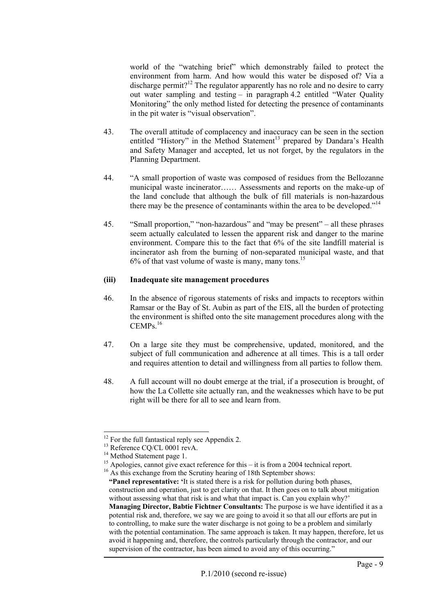world of the "watching brief" which demonstrably failed to protect the environment from harm. And how would this water be disposed of? Via a discharge permit?<sup>12</sup> The regulator apparently has no role and no desire to carry out water sampling and testing – in paragraph 4.2 entitled "Water Quality Monitoring" the only method listed for detecting the presence of contaminants in the pit water is "visual observation".

- 43. The overall attitude of complacency and inaccuracy can be seen in the section entitled "History" in the Method Statement<sup>13</sup> prepared by Dandara's Health and Safety Manager and accepted, let us not forget, by the regulators in the Planning Department.
- 44. "A small proportion of waste was composed of residues from the Bellozanne municipal waste incinerator…… Assessments and reports on the make-up of the land conclude that although the bulk of fill materials is non-hazardous there may be the presence of contaminants within the area to be developed."<sup>[14](#page-8-2)</sup>
- 45. "Small proportion," "non-hazardous" and "may be present" all these phrases seem actually calculated to lessen the apparent risk and danger to the marine environment. Compare this to the fact that 6% of the site landfill material is incinerator ash from the burning of non-separated municipal waste, and that  $6\%$  of that vast volume of waste is many, many tons.<sup>[15](#page-8-3)</sup>

#### **(iii) Inadequate site management procedures**

- 46. In the absence of rigorous statements of risks and impacts to receptors within Ramsar or the Bay of St. Aubin as part of the EIS, all the burden of protecting the environment is shifted onto the site management procedures along with the  $CEMPs$ <sup>[16](#page-8-4)</sup>
- 47. On a large site they must be comprehensive, updated, monitored, and the subject of full communication and adherence at all times. This is a tall order and requires attention to detail and willingness from all parties to follow them.
- 48. A full account will no doubt emerge at the trial, if a prosecution is brought, of how the La Collette site actually ran, and the weaknesses which have to be put right will be there for all to see and learn from.

<span id="page-8-0"></span>

<span id="page-8-1"></span>

<span id="page-8-3"></span><span id="page-8-2"></span>

<sup>&</sup>lt;sup>12</sup> For the full fantastical reply see Appendix 2.<br><sup>13</sup> Reference CQ/CL 0001 revA.<br><sup>14</sup> Method Statement page 1.<br><sup>15</sup> Apologies, cannot give exact reference for this – it is from a 2004 technical report.<br><sup>16</sup> As this exc

<span id="page-8-4"></span>

 **<sup>&</sup>quot;Panel representative: '**It is stated there is a risk for pollution during both phases, construction and operation, just to get clarity on that. It then goes on to talk about mitigation without assessing what that risk is and what that impact is. Can you explain why?' **Managing Director, Babtie Fichtner Consultants:** The purpose is we have identified it as a potential risk and, therefore, we say we are going to avoid it so that all our efforts are put in to controlling, to make sure the water discharge is not going to be a problem and similarly with the potential contamination. The same approach is taken. It may happen, therefore, let us avoid it happening and, therefore, the controls particularly through the contractor, and our supervision of the contractor, has been aimed to avoid any of this occurring."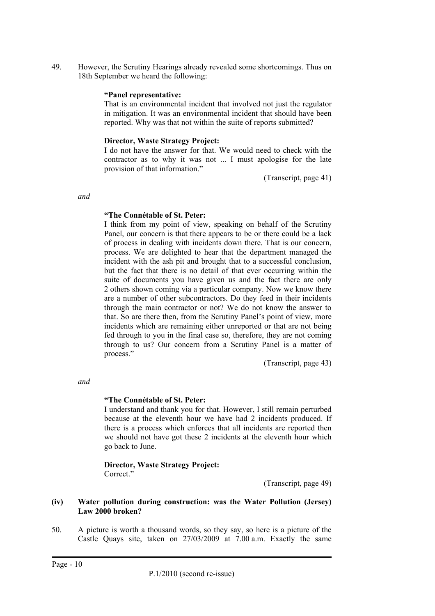49. However, the Scrutiny Hearings already revealed some shortcomings. Thus on 18th September we heard the following:

#### **"Panel representative:**

That is an environmental incident that involved not just the regulator in mitigation. It was an environmental incident that should have been reported. Why was that not within the suite of reports submitted?

#### **Director, Waste Strategy Project:**

I do not have the answer for that. We would need to check with the contractor as to why it was not ... I must apologise for the late provision of that information."

(Transcript, page 41)

*and* 

#### **"The Connétable of St. Peter:**

I think from my point of view, speaking on behalf of the Scrutiny Panel, our concern is that there appears to be or there could be a lack of process in dealing with incidents down there. That is our concern, process. We are delighted to hear that the department managed the incident with the ash pit and brought that to a successful conclusion, but the fact that there is no detail of that ever occurring within the suite of documents you have given us and the fact there are only 2 others shown coming via a particular company. Now we know there are a number of other subcontractors. Do they feed in their incidents through the main contractor or not? We do not know the answer to that. So are there then, from the Scrutiny Panel's point of view, more incidents which are remaining either unreported or that are not being fed through to you in the final case so, therefore, they are not coming through to us? Our concern from a Scrutiny Panel is a matter of process."

(Transcript, page 43)

*and* 

#### **"The Connétable of St. Peter:**

I understand and thank you for that. However, I still remain perturbed because at the eleventh hour we have had 2 incidents produced. If there is a process which enforces that all incidents are reported then we should not have got these 2 incidents at the eleventh hour which go back to June.

**Director, Waste Strategy Project:**  Correct."

(Transcript, page 49)

#### **(iv) Water pollution during construction: was the Water Pollution (Jersey) Law 2000 broken?**

50. A picture is worth a thousand words, so they say, so here is a picture of the Castle Quays site, taken on 27/03/2009 at 7.00 a.m. Exactly the same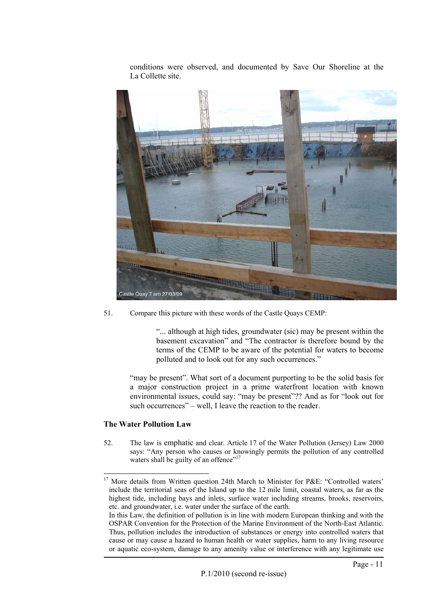conditions were observed, and documented by Save Our Shoreline at the La Collette site.



51. Compare this picture with these words of the Castle Quays CEMP:

"... although at high tides, groundwater (sic) may be present within the basement excavation" and "The contractor is therefore bound by the terms of the CEMP to be aware of the potential for waters to become polluted and to look out for any such occurrences."

"may be present". What sort of a document purporting to be the solid basis for a major construction project in a prime waterfront location with known environmental issues, could say: "may be present"?? And as for "look out for such occurrences" – well, I leave the reaction to the reader.

#### **The Water Pollution Law**

52. The law is emphatic and clear. Article 17 of the Water Pollution (Jersey) Law 2000 says: "Any person who causes or knowingly permits the pollution of any controlled waters shall be guilty of an offence"<sup>[17](#page-10-0)</sup>

<span id="page-10-0"></span><sup>&</sup>lt;sup>17</sup> More details from Written question 24th March to Minister for P&E: "Controlled waters' include the territorial seas of the Island up to the 12 mile limit, coastal waters, as far as the highest tide, including bays and inlets, surface water including streams, brooks, reservoirs, etc. and groundwater, i.e. water under the surface of the earth.

In this Law, the definition of pollution is in line with modern European thinking and with the OSPAR Convention for the Protection of the Marine Environment of the North-East Atlantic. Thus, pollution includes the introduction of substances or energy into controlled waters that cause or may cause a hazard to human health or water supplies, harm to any living resource or aquatic eco-system, damage to any amenity value or interference with any legitimate use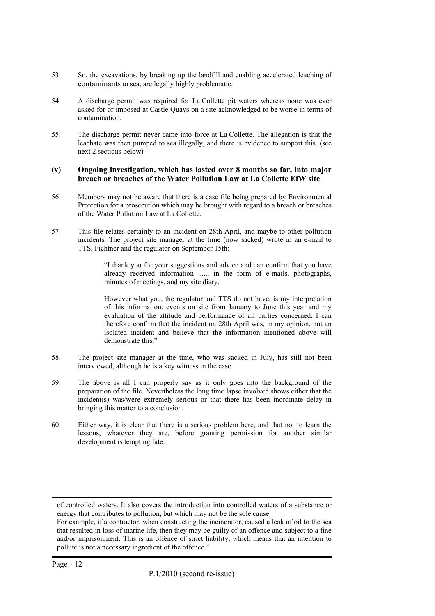- 53. So, the excavations, by breaking up the landfill and enabling accelerated leaching of contaminants to sea, are legally highly problematic.
- 54. A discharge permit was required for La Collette pit waters whereas none was ever asked for or imposed at Castle Quays on a site acknowledged to be worse in terms of contamination.
- 55. The discharge permit never came into force at La Collette. The allegation is that the leachate was then pumped to sea illegally, and there is evidence to support this. (see next 2 sections below)

#### **(v) Ongoing investigation, which has lasted over 8 months so far, into major breach or breaches of the Water Pollution Law at La Collette EfW site**

- 56. Members may not be aware that there is a case file being prepared by Environmental Protection for a prosecution which may be brought with regard to a breach or breaches of the Water Pollution Law at La Collette.
- 57. This file relates certainly to an incident on 28th April, and maybe to other pollution incidents. The project site manager at the time (now sacked) wrote in an e-mail to TTS, Fichtner and the regulator on September 15th:

"I thank you for your suggestions and advice and can confirm that you have already received information ...... in the form of e-mails, photographs, minutes of meetings, and my site diary.

However what you, the regulator and TTS do not have, is my interpretation of this information, events on site from January to June this year and my evaluation of the attitude and performance of all parties concerned. I can therefore confirm that the incident on 28th April was, in my opinion, not an isolated incident and believe that the information mentioned above will demonstrate this."

- 58. The project site manager at the time, who was sacked in July, has still not been interviewed, although he is a key witness in the case.
- 59. The above is all I can properly say as it only goes into the background of the preparation of the file. Nevertheless the long time lapse involved shows either that the incident(s) was/were extremely serious or that there has been inordinate delay in bringing this matter to a conclusion.
- 60. Either way, it is clear that there is a serious problem here, and that not to learn the lessons, whatever they are, before granting permission for another similar development is tempting fate.

 $\overline{a}$ 

of controlled waters. It also covers the introduction into controlled waters of a substance or energy that contributes to pollution, but which may not be the sole cause.

For example, if a contractor, when constructing the incinerator, caused a leak of oil to the sea that resulted in loss of marine life, then they may be guilty of an offence and subject to a fine and/or imprisonment. This is an offence of strict liability, which means that an intention to pollute is not a necessary ingredient of the offence."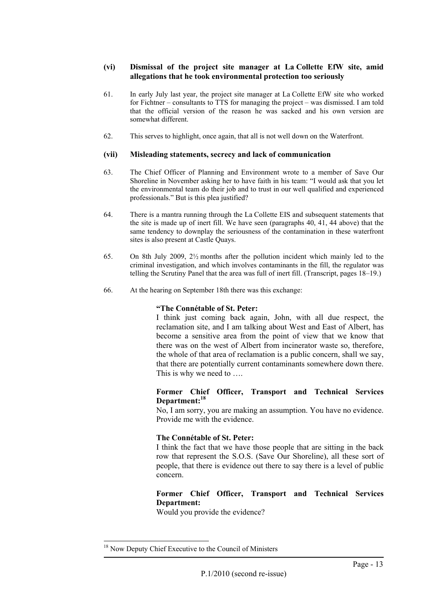#### **(vi) Dismissal of the project site manager at La Collette EfW site, amid allegations that he took environmental protection too seriously**

- 61. In early July last year, the project site manager at La Collette EfW site who worked for Fichtner – consultants to TTS for managing the project – was dismissed. I am told that the official version of the reason he was sacked and his own version are somewhat different.
- 62. This serves to highlight, once again, that all is not well down on the Waterfront.

#### **(vii) Misleading statements, secrecy and lack of communication**

- 63. The Chief Officer of Planning and Environment wrote to a member of Save Our Shoreline in November asking her to have faith in his team: "I would ask that you let the environmental team do their job and to trust in our well qualified and experienced professionals." But is this plea justified?
- 64. There is a mantra running through the La Collette EIS and subsequent statements that the site is made up of inert fill. We have seen (paragraphs 40, 41, 44 above) that the same tendency to downplay the seriousness of the contamination in these waterfront sites is also present at Castle Quays.
- 65. On 8th July 2009, 2½ months after the pollution incident which mainly led to the criminal investigation, and which involves contaminants in the fill, the regulator was telling the Scrutiny Panel that the area was full of inert fill. (Transcript, pages 18–19.)
- 66. At the hearing on September 18th there was this exchange:

#### **"The Connétable of St. Peter:**

I think just coming back again, John, with all due respect, the reclamation site, and I am talking about West and East of Albert, has become a sensitive area from the point of view that we know that there was on the west of Albert from incinerator waste so, therefore, the whole of that area of reclamation is a public concern, shall we say, that there are potentially current contaminants somewhere down there. This is why we need to ….

#### **Former Chief Officer, Transport and Technical Services Department:[18](#page-12-0)**

No, I am sorry, you are making an assumption. You have no evidence. Provide me with the evidence.

#### **The Connétable of St. Peter:**

I think the fact that we have those people that are sitting in the back row that represent the S.O.S. (Save Our Shoreline), all these sort of people, that there is evidence out there to say there is a level of public concern.

## **Former Chief Officer, Transport and Technical Services Department:**

Would you provide the evidence?

<span id="page-12-0"></span><sup>&</sup>lt;sup>18</sup> Now Deputy Chief Executive to the Council of Ministers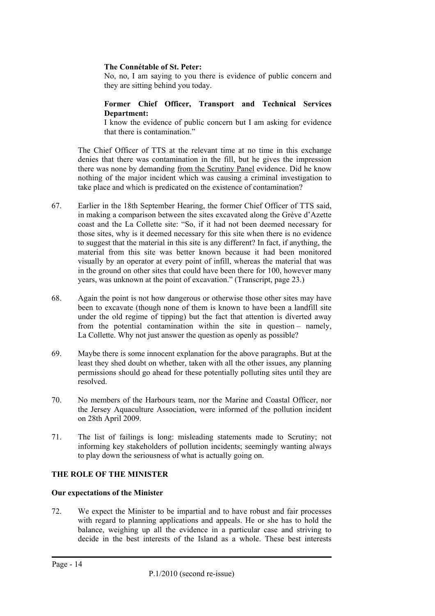#### **The Connétable of St. Peter:**

No, no, I am saying to you there is evidence of public concern and they are sitting behind you today.

#### **Former Chief Officer, Transport and Technical Services Department:**

I know the evidence of public concern but I am asking for evidence that there is contamination."

The Chief Officer of TTS at the relevant time at no time in this exchange denies that there was contamination in the fill, but he gives the impression there was none by demanding from the Scrutiny Panel evidence. Did he know nothing of the major incident which was causing a criminal investigation to take place and which is predicated on the existence of contamination?

- 67. Earlier in the 18th September Hearing, the former Chief Officer of TTS said, in making a comparison between the sites excavated along the Grève d'Azette coast and the La Collette site: "So, if it had not been deemed necessary for those sites, why is it deemed necessary for this site when there is no evidence to suggest that the material in this site is any different? In fact, if anything, the material from this site was better known because it had been monitored visually by an operator at every point of infill, whereas the material that was in the ground on other sites that could have been there for 100, however many years, was unknown at the point of excavation." (Transcript, page 23.)
- 68. Again the point is not how dangerous or otherwise those other sites may have been to excavate (though none of them is known to have been a landfill site under the old regime of tipping) but the fact that attention is diverted away from the potential contamination within the site in question – namely, La Collette. Why not just answer the question as openly as possible?
- 69. Maybe there is some innocent explanation for the above paragraphs. But at the least they shed doubt on whether, taken with all the other issues, any planning permissions should go ahead for these potentially polluting sites until they are resolved.
- 70. No members of the Harbours team, nor the Marine and Coastal Officer, nor the Jersey Aquaculture Association, were informed of the pollution incident on 28th April 2009.
- 71. The list of failings is long: misleading statements made to Scrutiny; not informing key stakeholders of pollution incidents; seemingly wanting always to play down the seriousness of what is actually going on.

#### **THE ROLE OF THE MINISTER**

#### **Our expectations of the Minister**

72. We expect the Minister to be impartial and to have robust and fair processes with regard to planning applications and appeals. He or she has to hold the balance, weighing up all the evidence in a particular case and striving to decide in the best interests of the Island as a whole. These best interests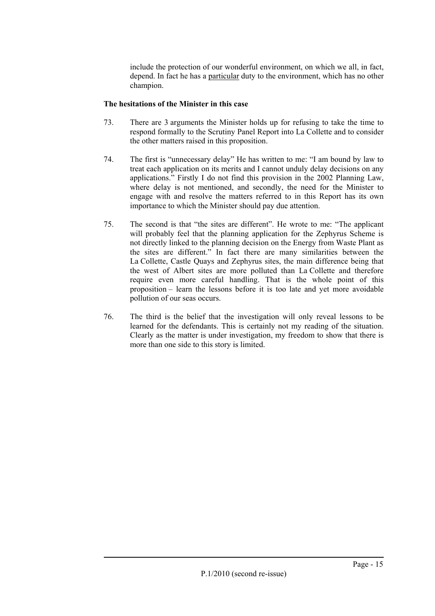include the protection of our wonderful environment, on which we all, in fact, depend. In fact he has a particular duty to the environment, which has no other champion.

## **The hesitations of the Minister in this case**

- 73. There are 3 arguments the Minister holds up for refusing to take the time to respond formally to the Scrutiny Panel Report into La Collette and to consider the other matters raised in this proposition.
- 74. The first is "unnecessary delay" He has written to me: "I am bound by law to treat each application on its merits and I cannot unduly delay decisions on any applications." Firstly I do not find this provision in the 2002 Planning Law, where delay is not mentioned, and secondly, the need for the Minister to engage with and resolve the matters referred to in this Report has its own importance to which the Minister should pay due attention.
- 75. The second is that "the sites are different". He wrote to me: "The applicant will probably feel that the planning application for the Zephyrus Scheme is not directly linked to the planning decision on the Energy from Waste Plant as the sites are different." In fact there are many similarities between the La Collette, Castle Quays and Zephyrus sites, the main difference being that the west of Albert sites are more polluted than La Collette and therefore require even more careful handling. That is the whole point of this proposition – learn the lessons before it is too late and yet more avoidable pollution of our seas occurs.
- 76. The third is the belief that the investigation will only reveal lessons to be learned for the defendants. This is certainly not my reading of the situation. Clearly as the matter is under investigation, my freedom to show that there is more than one side to this story is limited.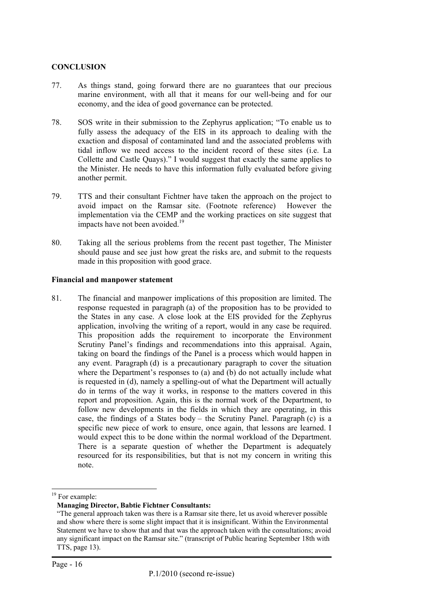#### **CONCLUSION**

- 77. As things stand, going forward there are no guarantees that our precious marine environment, with all that it means for our well-being and for our economy, and the idea of good governance can be protected.
- 78. SOS write in their submission to the Zephyrus application; "To enable us to fully assess the adequacy of the EIS in its approach to dealing with the exaction and disposal of contaminated land and the associated problems with tidal inflow we need access to the incident record of these sites (i.e. La Collette and Castle Quays)." I would suggest that exactly the same applies to the Minister. He needs to have this information fully evaluated before giving another permit.
- 79. TTS and their consultant Fichtner have taken the approach on the project to avoid impact on the Ramsar site. (Footnote reference) However the implementation via the CEMP and the working practices on site suggest that impacts have not been avoided.<sup>19</sup>
- 80. Taking all the serious problems from the recent past together, The Minister should pause and see just how great the risks are, and submit to the requests made in this proposition with good grace.

#### **Financial and manpower statement**

81. The financial and manpower implications of this proposition are limited. The response requested in paragraph (a) of the proposition has to be provided to the States in any case. A close look at the EIS provided for the Zephyrus application, involving the writing of a report, would in any case be required. This proposition adds the requirement to incorporate the Environment Scrutiny Panel's findings and recommendations into this appraisal. Again, taking on board the findings of the Panel is a process which would happen in any event. Paragraph (d) is a precautionary paragraph to cover the situation where the Department's responses to (a) and (b) do not actually include what is requested in (d), namely a spelling-out of what the Department will actually do in terms of the way it works, in response to the matters covered in this report and proposition. Again, this is the normal work of the Department, to follow new developments in the fields in which they are operating, in this case, the findings of a States body – the Scrutiny Panel. Paragraph (c) is a specific new piece of work to ensure, once again, that lessons are learned. I would expect this to be done within the normal workload of the Department. There is a separate question of whether the Department is adequately resourced for its responsibilities, but that is not my concern in writing this note.

<span id="page-15-0"></span><sup>&</sup>lt;sup>19</sup> For example:

**Managing Director, Babtie Fichtner Consultants:**

<sup>&</sup>quot;The general approach taken was there is a Ramsar site there, let us avoid wherever possible and show where there is some slight impact that it is insignificant. Within the Environmental Statement we have to show that and that was the approach taken with the consultations; avoid any significant impact on the Ramsar site." (transcript of Public hearing September 18th with TTS, page 13).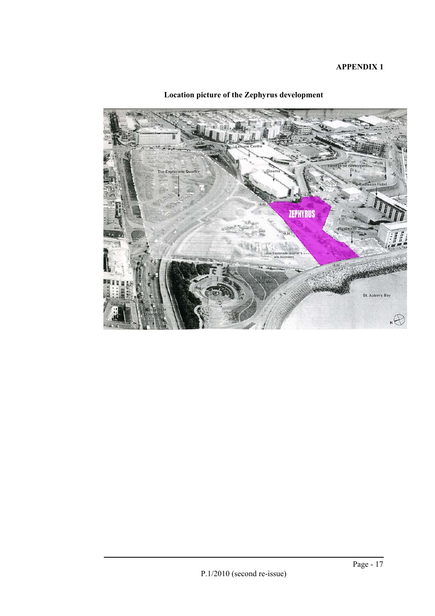## **APPENDIX 1**



## **Location picture of the Zephyrus development**